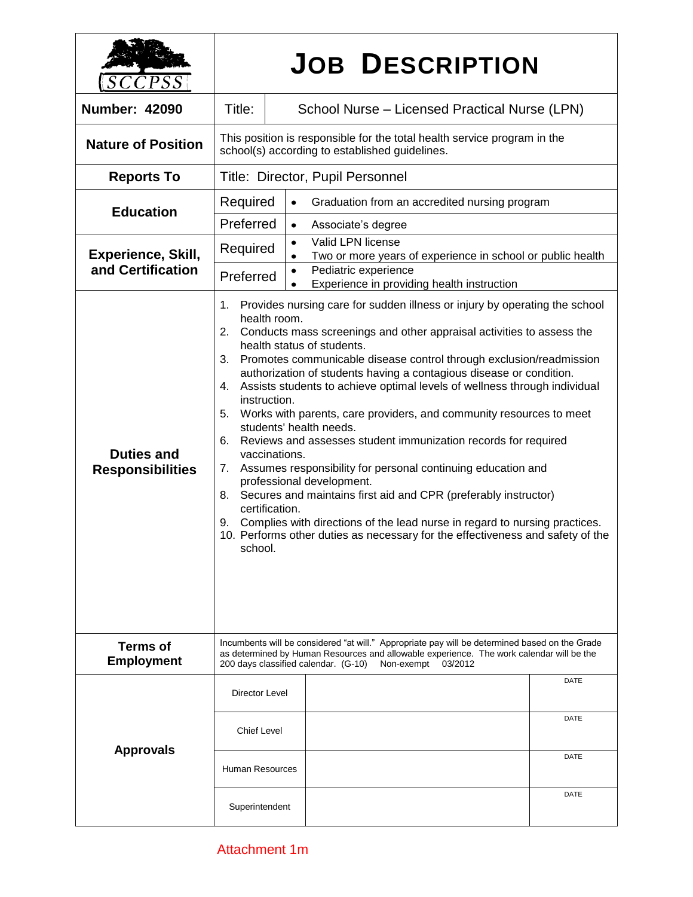| SCCPSS                                         | <b>JOB DESCRIPTION</b>                                                                                                                                                                                                                                                                                                                                                                                                                                                                                                                                                                                                                                                                                                                                                                                                                                                                                                                                                                                                                         |                                                                                    |  |
|------------------------------------------------|------------------------------------------------------------------------------------------------------------------------------------------------------------------------------------------------------------------------------------------------------------------------------------------------------------------------------------------------------------------------------------------------------------------------------------------------------------------------------------------------------------------------------------------------------------------------------------------------------------------------------------------------------------------------------------------------------------------------------------------------------------------------------------------------------------------------------------------------------------------------------------------------------------------------------------------------------------------------------------------------------------------------------------------------|------------------------------------------------------------------------------------|--|
| <b>Number: 42090</b>                           | Title:                                                                                                                                                                                                                                                                                                                                                                                                                                                                                                                                                                                                                                                                                                                                                                                                                                                                                                                                                                                                                                         | School Nurse - Licensed Practical Nurse (LPN)                                      |  |
| <b>Nature of Position</b>                      | This position is responsible for the total health service program in the<br>school(s) according to established guidelines.                                                                                                                                                                                                                                                                                                                                                                                                                                                                                                                                                                                                                                                                                                                                                                                                                                                                                                                     |                                                                                    |  |
| <b>Reports To</b>                              | Title: Director, Pupil Personnel                                                                                                                                                                                                                                                                                                                                                                                                                                                                                                                                                                                                                                                                                                                                                                                                                                                                                                                                                                                                               |                                                                                    |  |
| <b>Education</b>                               | Required                                                                                                                                                                                                                                                                                                                                                                                                                                                                                                                                                                                                                                                                                                                                                                                                                                                                                                                                                                                                                                       | Graduation from an accredited nursing program<br>$\bullet$                         |  |
|                                                | Preferred<br>Associate's degree<br>$\bullet$                                                                                                                                                                                                                                                                                                                                                                                                                                                                                                                                                                                                                                                                                                                                                                                                                                                                                                                                                                                                   |                                                                                    |  |
| <b>Experience, Skill,</b><br>and Certification | Valid LPN license<br>$\bullet$<br>Required<br>$\bullet$                                                                                                                                                                                                                                                                                                                                                                                                                                                                                                                                                                                                                                                                                                                                                                                                                                                                                                                                                                                        | Two or more years of experience in school or public health<br>Pediatric experience |  |
|                                                | Preferred<br>Experience in providing health instruction                                                                                                                                                                                                                                                                                                                                                                                                                                                                                                                                                                                                                                                                                                                                                                                                                                                                                                                                                                                        |                                                                                    |  |
| <b>Duties and</b><br><b>Responsibilities</b>   | Provides nursing care for sudden illness or injury by operating the school<br>1.<br>health room.<br>2. Conducts mass screenings and other appraisal activities to assess the<br>health status of students.<br>Promotes communicable disease control through exclusion/readmission<br>3.<br>authorization of students having a contagious disease or condition.<br>Assists students to achieve optimal levels of wellness through individual<br>4.<br>instruction.<br>5. Works with parents, care providers, and community resources to meet<br>students' health needs.<br>Reviews and assesses student immunization records for required<br>6.<br>vaccinations.<br>Assumes responsibility for personal continuing education and<br>7.<br>professional development.<br>Secures and maintains first aid and CPR (preferably instructor)<br>8.<br>certification.<br>Complies with directions of the lead nurse in regard to nursing practices.<br>9.<br>10. Performs other duties as necessary for the effectiveness and safety of the<br>school. |                                                                                    |  |
| <b>Terms of</b><br><b>Employment</b>           | Incumbents will be considered "at will." Appropriate pay will be determined based on the Grade<br>as determined by Human Resources and allowable experience. The work calendar will be the<br>200 days classified calendar. (G-10)<br>Non-exempt<br>03/2012                                                                                                                                                                                                                                                                                                                                                                                                                                                                                                                                                                                                                                                                                                                                                                                    |                                                                                    |  |
| <b>Approvals</b>                               | Director Level                                                                                                                                                                                                                                                                                                                                                                                                                                                                                                                                                                                                                                                                                                                                                                                                                                                                                                                                                                                                                                 | DATE                                                                               |  |
|                                                | <b>Chief Level</b>                                                                                                                                                                                                                                                                                                                                                                                                                                                                                                                                                                                                                                                                                                                                                                                                                                                                                                                                                                                                                             | DATE                                                                               |  |
|                                                | <b>Human Resources</b>                                                                                                                                                                                                                                                                                                                                                                                                                                                                                                                                                                                                                                                                                                                                                                                                                                                                                                                                                                                                                         | <b>DATE</b>                                                                        |  |
|                                                | Superintendent                                                                                                                                                                                                                                                                                                                                                                                                                                                                                                                                                                                                                                                                                                                                                                                                                                                                                                                                                                                                                                 | <b>DATE</b>                                                                        |  |